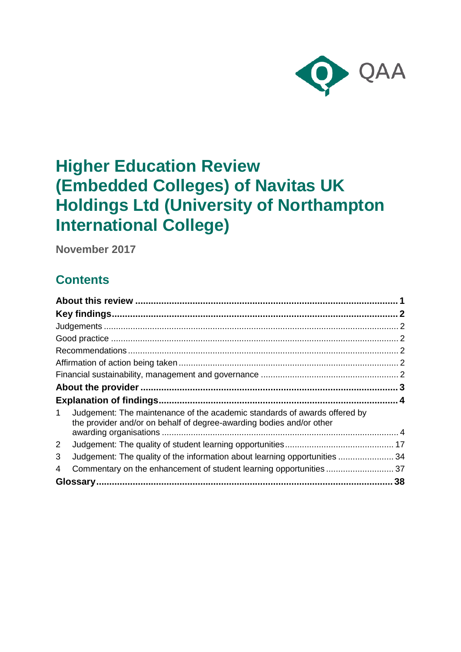

# **Higher Education Review (Embedded Colleges) of Navitas UK Holdings Ltd (University of Northampton International College)**

**November 2017**

## **Contents**

| <b>Explanation of findings.</b>                                                                                                                        |  |
|--------------------------------------------------------------------------------------------------------------------------------------------------------|--|
| Judgement: The maintenance of the academic standards of awards offered by<br>1<br>the provider and/or on behalf of degree-awarding bodies and/or other |  |
|                                                                                                                                                        |  |
| $\overline{2}$                                                                                                                                         |  |
| Judgement: The quality of the information about learning opportunities  34<br>3                                                                        |  |
| Commentary on the enhancement of student learning opportunities 37<br>4                                                                                |  |
|                                                                                                                                                        |  |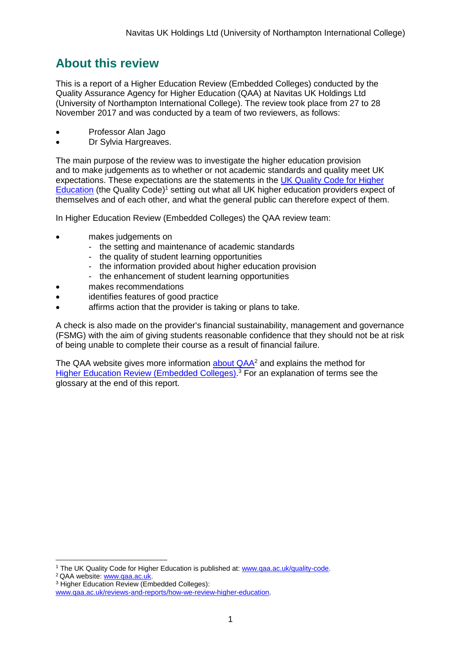## <span id="page-1-0"></span>**About this review**

This is a report of a Higher Education Review (Embedded Colleges) conducted by the Quality Assurance Agency for Higher Education (QAA) at Navitas UK Holdings Ltd (University of Northampton International College). The review took place from 27 to 28 November 2017 and was conducted by a team of two reviewers, as follows:

- Professor Alan Jago
- Dr Sylvia Hargreaves.

The main purpose of the review was to investigate the higher education provision and to make judgements as to whether or not academic standards and quality meet UK expectations. These expectations are the statements in the [UK Quality Code for Higher](http://www.qaa.ac.uk/assuring-standards-and-quality/the-quality-code)  [Education](http://www.qaa.ac.uk/assuring-standards-and-quality/the-quality-code) (the Quality Code)<sup>1</sup> setting out what all UK higher education providers expect of themselves and of each other, and what the general public can therefore expect of them.

In Higher Education Review (Embedded Colleges) the QAA review team:

- makes judgements on
	- the setting and maintenance of academic standards
	- the quality of student learning opportunities
	- the information provided about higher education provision
	- the enhancement of student learning opportunities
- makes recommendations
- identifies features of good practice
- affirms action that the provider is taking or plans to take.

A check is also made on the provider's financial sustainability, management and governance (FSMG) with the aim of giving students reasonable confidence that they should not be at risk of being unable to complete their course as a result of financial failure.

The QAA website gives more information [about QAA](http://www.qaa.ac.uk/)<sup>2</sup> and explains the method for [Higher Education Review \(Embedded Colleges\).](http://www.qaa.ac.uk/reviews-and-reports/how-we-review-higher-education)<sup>3</sup> For an explanation of terms see the glossary at the end of this report.

1

<sup>&</sup>lt;sup>1</sup> The UK Quality Code for Higher Education is published at: [www.qaa.ac.uk/quality-code.](http://www.qaa.ac.uk/quality-code)

<sup>2</sup> QAA website: [www.qaa.ac.uk.](http://www.qaa.ac.uk/)

<sup>3</sup> Higher Education Review (Embedded Colleges):

[www.qaa.ac.uk/reviews-and-reports/how-we-review-higher-education.](http://www.qaa.ac.uk/reviews-and-reports/how-we-review-higher-education)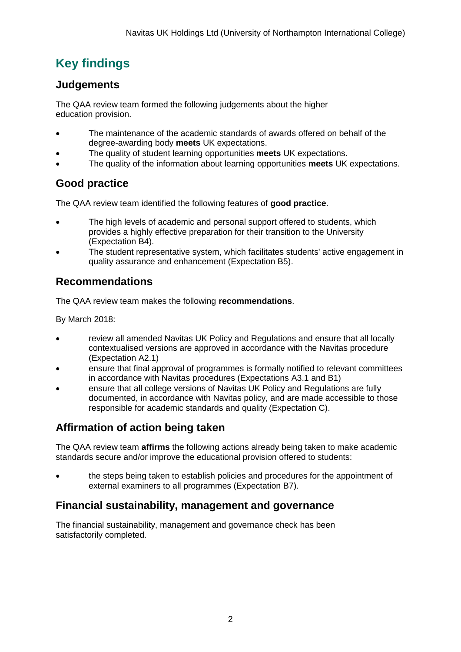## <span id="page-2-0"></span>**Key findings**

## <span id="page-2-1"></span>**Judgements**

The QAA review team formed the following judgements about the higher education provision.

- The maintenance of the academic standards of awards offered on behalf of the degree-awarding body **meets** UK expectations.
- The quality of student learning opportunities **meets** UK expectations.
- The quality of the information about learning opportunities **meets** UK expectations.

## <span id="page-2-2"></span>**Good practice**

The QAA review team identified the following features of **good practice**.

- The high levels of academic and personal support offered to students, which provides a highly effective preparation for their transition to the University (Expectation B4).
- The student representative system, which facilitates students' active engagement in quality assurance and enhancement (Expectation B5).

## <span id="page-2-3"></span>**Recommendations**

The QAA review team makes the following **recommendations**.

By March 2018:

- review all amended Navitas UK Policy and Regulations and ensure that all locally contextualised versions are approved in accordance with the Navitas procedure (Expectation A2.1)
- ensure that final approval of programmes is formally notified to relevant committees in accordance with Navitas procedures (Expectations A3.1 and B1)
- ensure that all college versions of Navitas UK Policy and Regulations are fully documented, in accordance with Navitas policy, and are made accessible to those responsible for academic standards and quality (Expectation C).

## <span id="page-2-4"></span>**Affirmation of action being taken**

The QAA review team **affirms** the following actions already being taken to make academic standards secure and/or improve the educational provision offered to students:

• the steps being taken to establish policies and procedures for the appointment of external examiners to all programmes (Expectation B7).

## <span id="page-2-5"></span>**Financial sustainability, management and governance**

The financial sustainability, management and governance check has been satisfactorily completed.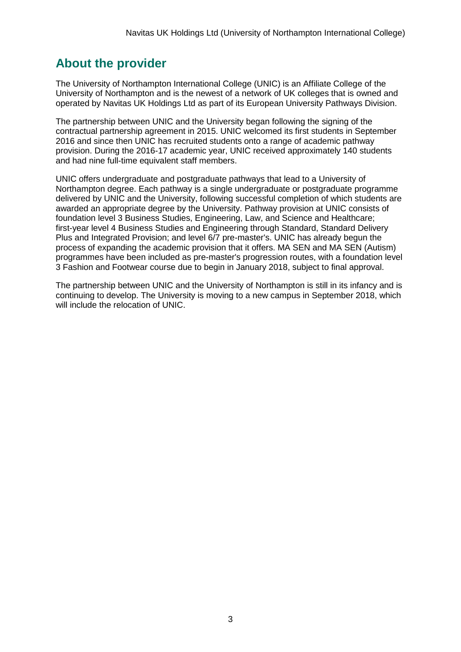## <span id="page-3-0"></span>**About the provider**

The University of Northampton International College (UNIC) is an Affiliate College of the University of Northampton and is the newest of a network of UK colleges that is owned and operated by Navitas UK Holdings Ltd as part of its European University Pathways Division.

The partnership between UNIC and the University began following the signing of the contractual partnership agreement in 2015. UNIC welcomed its first students in September 2016 and since then UNIC has recruited students onto a range of academic pathway provision. During the 2016-17 academic year, UNIC received approximately 140 students and had nine full-time equivalent staff members.

UNIC offers undergraduate and postgraduate pathways that lead to a University of Northampton degree. Each pathway is a single undergraduate or postgraduate programme delivered by UNIC and the University, following successful completion of which students are awarded an appropriate degree by the University. Pathway provision at UNIC consists of foundation level 3 Business Studies, Engineering, Law, and Science and Healthcare; first-year level 4 Business Studies and Engineering through Standard, Standard Delivery Plus and Integrated Provision; and level 6/7 pre-master's. UNIC has already begun the process of expanding the academic provision that it offers. MA SEN and MA SEN (Autism) programmes have been included as pre-master's progression routes, with a foundation level 3 Fashion and Footwear course due to begin in January 2018, subject to final approval.

The partnership between UNIC and the University of Northampton is still in its infancy and is continuing to develop. The University is moving to a new campus in September 2018, which will include the relocation of UNIC.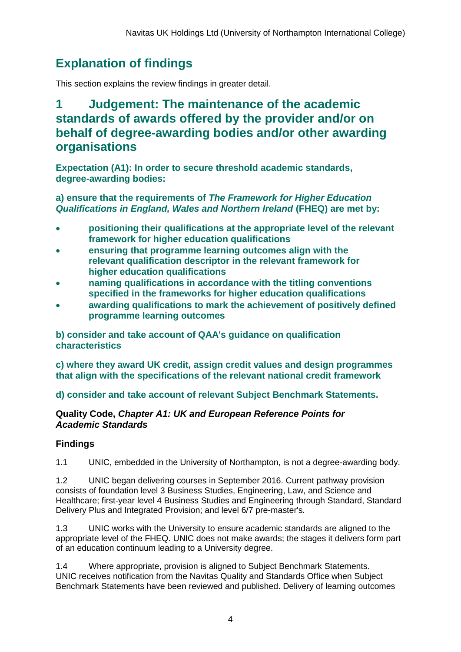## <span id="page-4-0"></span>**Explanation of findings**

This section explains the review findings in greater detail.

## <span id="page-4-1"></span>**1 Judgement: The maintenance of the academic standards of awards offered by the provider and/or on behalf of degree-awarding bodies and/or other awarding organisations**

**Expectation (A1): In order to secure threshold academic standards, degree-awarding bodies:**

### **a) ensure that the requirements of** *The Framework for Higher Education Qualifications in England, Wales and Northern Ireland* **(FHEQ) are met by:**

- **positioning their qualifications at the appropriate level of the relevant framework for higher education qualifications**
- **ensuring that programme learning outcomes align with the relevant qualification descriptor in the relevant framework for higher education qualifications**
- **naming qualifications in accordance with the titling conventions specified in the frameworks for higher education qualifications**
- **awarding qualifications to mark the achievement of positively defined programme learning outcomes**

**b) consider and take account of QAA's guidance on qualification characteristics** 

**c) where they award UK credit, assign credit values and design programmes that align with the specifications of the relevant national credit framework** 

**d) consider and take account of relevant Subject Benchmark Statements.**

### **Quality Code,** *Chapter A1: UK and European Reference Points for Academic Standards*

## **Findings**

1.1 UNIC, embedded in the University of Northampton, is not a degree-awarding body.

1.2 UNIC began delivering courses in September 2016. Current pathway provision consists of foundation level 3 Business Studies, Engineering, Law, and Science and Healthcare; first-year level 4 Business Studies and Engineering through Standard, Standard Delivery Plus and Integrated Provision; and level 6/7 pre-master's.

1.3 UNIC works with the University to ensure academic standards are aligned to the appropriate level of the FHEQ. UNIC does not make awards; the stages it delivers form part of an education continuum leading to a University degree.

1.4 Where appropriate, provision is aligned to Subject Benchmark Statements. UNIC receives notification from the Navitas Quality and Standards Office when Subject Benchmark Statements have been reviewed and published. Delivery of learning outcomes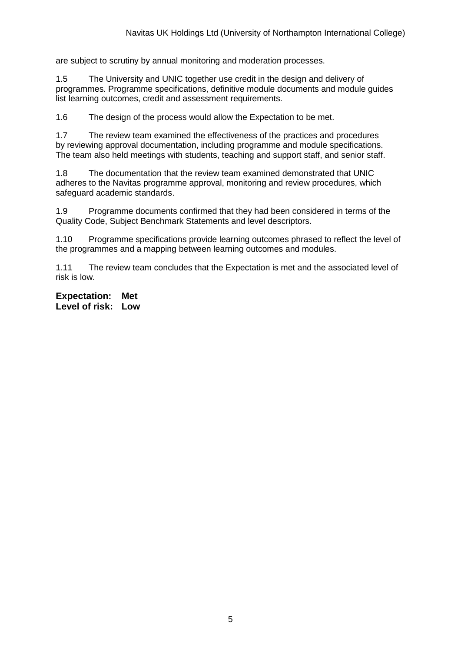are subject to scrutiny by annual monitoring and moderation processes.

1.5 The University and UNIC together use credit in the design and delivery of programmes. Programme specifications, definitive module documents and module guides list learning outcomes, credit and assessment requirements.

1.6 The design of the process would allow the Expectation to be met.

1.7 The review team examined the effectiveness of the practices and procedures by reviewing approval documentation, including programme and module specifications. The team also held meetings with students, teaching and support staff, and senior staff.

1.8 The documentation that the review team examined demonstrated that UNIC adheres to the Navitas programme approval, monitoring and review procedures, which safeguard academic standards.

1.9 Programme documents confirmed that they had been considered in terms of the Quality Code, Subject Benchmark Statements and level descriptors.

1.10 Programme specifications provide learning outcomes phrased to reflect the level of the programmes and a mapping between learning outcomes and modules.

1.11 The review team concludes that the Expectation is met and the associated level of risk is low.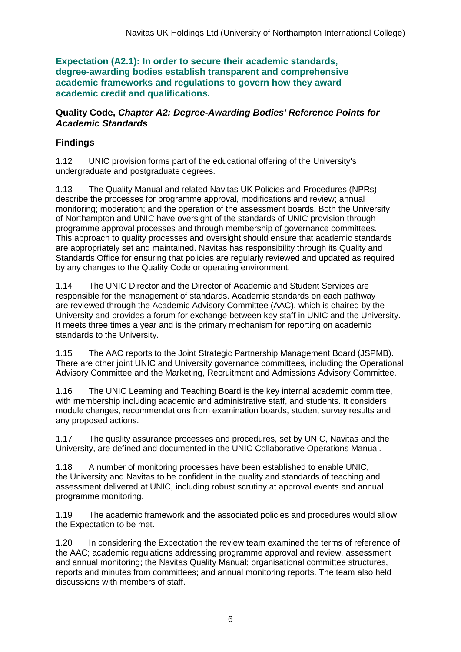**Expectation (A2.1): In order to secure their academic standards, degree-awarding bodies establish transparent and comprehensive academic frameworks and regulations to govern how they award academic credit and qualifications.**

#### **Quality Code,** *Chapter A2: Degree-Awarding Bodies' Reference Points for Academic Standards*

## **Findings**

1.12 UNIC provision forms part of the educational offering of the University's undergraduate and postgraduate degrees.

1.13 The Quality Manual and related Navitas UK Policies and Procedures (NPRs) describe the processes for programme approval, modifications and review; annual monitoring; moderation; and the operation of the assessment boards. Both the University of Northampton and UNIC have oversight of the standards of UNIC provision through programme approval processes and through membership of governance committees. This approach to quality processes and oversight should ensure that academic standards are appropriately set and maintained. Navitas has responsibility through its Quality and Standards Office for ensuring that policies are regularly reviewed and updated as required by any changes to the Quality Code or operating environment.

1.14 The UNIC Director and the Director of Academic and Student Services are responsible for the management of standards. Academic standards on each pathway are reviewed through the Academic Advisory Committee (AAC), which is chaired by the University and provides a forum for exchange between key staff in UNIC and the University. It meets three times a year and is the primary mechanism for reporting on academic standards to the University.

1.15 The AAC reports to the Joint Strategic Partnership Management Board (JSPMB). There are other joint UNIC and University governance committees, including the Operational Advisory Committee and the Marketing, Recruitment and Admissions Advisory Committee.

1.16 The UNIC Learning and Teaching Board is the key internal academic committee, with membership including academic and administrative staff, and students. It considers module changes, recommendations from examination boards, student survey results and any proposed actions.

1.17 The quality assurance processes and procedures, set by UNIC, Navitas and the University, are defined and documented in the UNIC Collaborative Operations Manual.

1.18 A number of monitoring processes have been established to enable UNIC, the University and Navitas to be confident in the quality and standards of teaching and assessment delivered at UNIC, including robust scrutiny at approval events and annual programme monitoring.

1.19 The academic framework and the associated policies and procedures would allow the Expectation to be met.

1.20 In considering the Expectation the review team examined the terms of reference of the AAC; academic regulations addressing programme approval and review, assessment and annual monitoring; the Navitas Quality Manual; organisational committee structures, reports and minutes from committees; and annual monitoring reports. The team also held discussions with members of staff.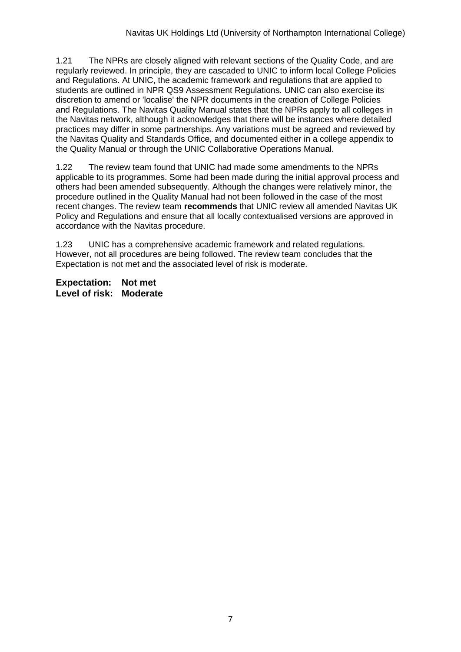1.21 The NPRs are closely aligned with relevant sections of the Quality Code, and are regularly reviewed. In principle, they are cascaded to UNIC to inform local College Policies and Regulations. At UNIC, the academic framework and regulations that are applied to students are outlined in NPR QS9 Assessment Regulations. UNIC can also exercise its discretion to amend or 'localise' the NPR documents in the creation of College Policies and Regulations. The Navitas Quality Manual states that the NPRs apply to all colleges in the Navitas network, although it acknowledges that there will be instances where detailed practices may differ in some partnerships. Any variations must be agreed and reviewed by the Navitas Quality and Standards Office, and documented either in a college appendix to the Quality Manual or through the UNIC Collaborative Operations Manual.

1.22 The review team found that UNIC had made some amendments to the NPRs applicable to its programmes. Some had been made during the initial approval process and others had been amended subsequently. Although the changes were relatively minor, the procedure outlined in the Quality Manual had not been followed in the case of the most recent changes. The review team **recommends** that UNIC review all amended Navitas UK Policy and Regulations and ensure that all locally contextualised versions are approved in accordance with the Navitas procedure.

1.23 UNIC has a comprehensive academic framework and related regulations. However, not all procedures are being followed. The review team concludes that the Expectation is not met and the associated level of risk is moderate.

**Expectation: Not met Level of risk: Moderate**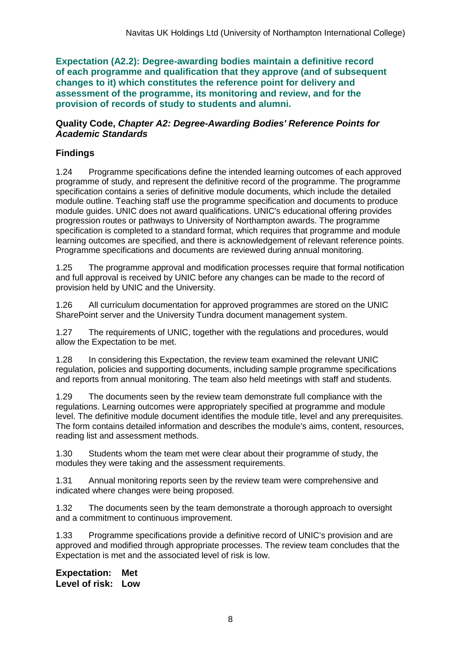**Expectation (A2.2): Degree-awarding bodies maintain a definitive record of each programme and qualification that they approve (and of subsequent changes to it) which constitutes the reference point for delivery and assessment of the programme, its monitoring and review, and for the provision of records of study to students and alumni.** 

#### **Quality Code,** *Chapter A2: Degree-Awarding Bodies' Reference Points for Academic Standards*

## **Findings**

1.24 Programme specifications define the intended learning outcomes of each approved programme of study, and represent the definitive record of the programme. The programme specification contains a series of definitive module documents, which include the detailed module outline. Teaching staff use the programme specification and documents to produce module guides. UNIC does not award qualifications. UNIC's educational offering provides progression routes or pathways to University of Northampton awards. The programme specification is completed to a standard format, which requires that programme and module learning outcomes are specified, and there is acknowledgement of relevant reference points. Programme specifications and documents are reviewed during annual monitoring.

1.25 The programme approval and modification processes require that formal notification and full approval is received by UNIC before any changes can be made to the record of provision held by UNIC and the University.

1.26 All curriculum documentation for approved programmes are stored on the UNIC SharePoint server and the University Tundra document management system.

1.27 The requirements of UNIC, together with the regulations and procedures, would allow the Expectation to be met.

1.28 In considering this Expectation, the review team examined the relevant UNIC regulation, policies and supporting documents, including sample programme specifications and reports from annual monitoring. The team also held meetings with staff and students.

1.29 The documents seen by the review team demonstrate full compliance with the regulations. Learning outcomes were appropriately specified at programme and module level. The definitive module document identifies the module title, level and any prerequisites. The form contains detailed information and describes the module's aims, content, resources, reading list and assessment methods.

1.30 Students whom the team met were clear about their programme of study, the modules they were taking and the assessment requirements.

1.31 Annual monitoring reports seen by the review team were comprehensive and indicated where changes were being proposed.

1.32 The documents seen by the team demonstrate a thorough approach to oversight and a commitment to continuous improvement.

1.33 Programme specifications provide a definitive record of UNIC's provision and are approved and modified through appropriate processes. The review team concludes that the Expectation is met and the associated level of risk is low.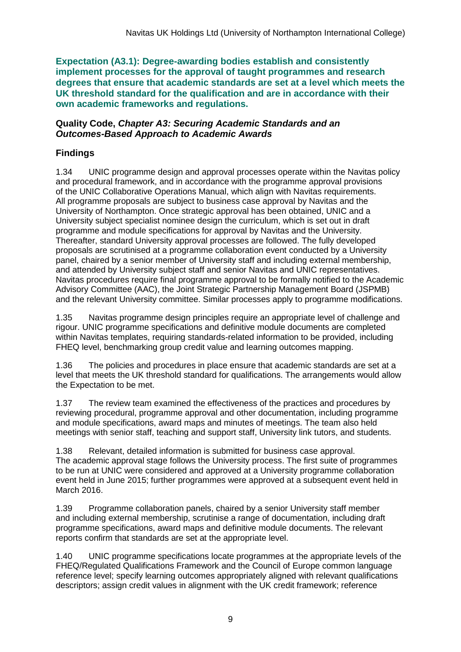**Expectation (A3.1): Degree-awarding bodies establish and consistently implement processes for the approval of taught programmes and research degrees that ensure that academic standards are set at a level which meets the UK threshold standard for the qualification and are in accordance with their own academic frameworks and regulations.**

#### **Quality Code,** *Chapter A3: Securing Academic Standards and an Outcomes-Based Approach to Academic Awards*

## **Findings**

1.34 UNIC programme design and approval processes operate within the Navitas policy and procedural framework, and in accordance with the programme approval provisions of the UNIC Collaborative Operations Manual, which align with Navitas requirements. All programme proposals are subject to business case approval by Navitas and the University of Northampton. Once strategic approval has been obtained, UNIC and a University subject specialist nominee design the curriculum, which is set out in draft programme and module specifications for approval by Navitas and the University. Thereafter, standard University approval processes are followed. The fully developed proposals are scrutinised at a programme collaboration event conducted by a University panel, chaired by a senior member of University staff and including external membership, and attended by University subject staff and senior Navitas and UNIC representatives. Navitas procedures require final programme approval to be formally notified to the Academic Advisory Committee (AAC), the Joint Strategic Partnership Management Board (JSPMB) and the relevant University committee. Similar processes apply to programme modifications.

1.35 Navitas programme design principles require an appropriate level of challenge and rigour. UNIC programme specifications and definitive module documents are completed within Navitas templates, requiring standards-related information to be provided, including FHEQ level, benchmarking group credit value and learning outcomes mapping.

1.36 The policies and procedures in place ensure that academic standards are set at a level that meets the UK threshold standard for qualifications. The arrangements would allow the Expectation to be met.

1.37 The review team examined the effectiveness of the practices and procedures by reviewing procedural, programme approval and other documentation, including programme and module specifications, award maps and minutes of meetings. The team also held meetings with senior staff, teaching and support staff, University link tutors, and students.

1.38 Relevant, detailed information is submitted for business case approval. The academic approval stage follows the University process. The first suite of programmes to be run at UNIC were considered and approved at a University programme collaboration event held in June 2015; further programmes were approved at a subsequent event held in March 2016.

1.39 Programme collaboration panels, chaired by a senior University staff member and including external membership, scrutinise a range of documentation, including draft programme specifications, award maps and definitive module documents. The relevant reports confirm that standards are set at the appropriate level.

1.40 UNIC programme specifications locate programmes at the appropriate levels of the FHEQ/Regulated Qualifications Framework and the Council of Europe common language reference level; specify learning outcomes appropriately aligned with relevant qualifications descriptors; assign credit values in alignment with the UK credit framework; reference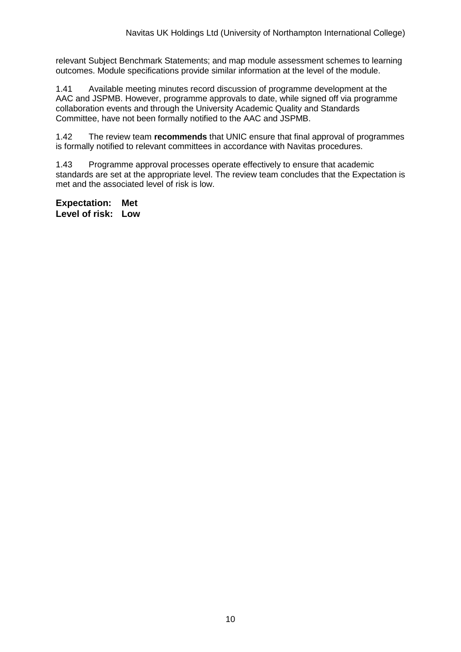relevant Subject Benchmark Statements; and map module assessment schemes to learning outcomes. Module specifications provide similar information at the level of the module.

1.41 Available meeting minutes record discussion of programme development at the AAC and JSPMB. However, programme approvals to date, while signed off via programme collaboration events and through the University Academic Quality and Standards Committee, have not been formally notified to the AAC and JSPMB.

1.42 The review team **recommends** that UNIC ensure that final approval of programmes is formally notified to relevant committees in accordance with Navitas procedures.

1.43 Programme approval processes operate effectively to ensure that academic standards are set at the appropriate level. The review team concludes that the Expectation is met and the associated level of risk is low.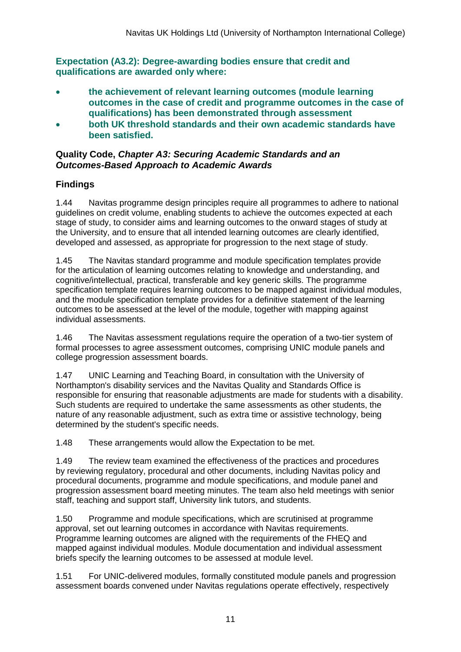**Expectation (A3.2): Degree-awarding bodies ensure that credit and qualifications are awarded only where:**

- **the achievement of relevant learning outcomes (module learning outcomes in the case of credit and programme outcomes in the case of qualifications) has been demonstrated through assessment**
- **both UK threshold standards and their own academic standards have been satisfied.**

### **Quality Code,** *Chapter A3: Securing Academic Standards and an Outcomes-Based Approach to Academic Awards*

## **Findings**

1.44 Navitas programme design principles require all programmes to adhere to national guidelines on credit volume, enabling students to achieve the outcomes expected at each stage of study, to consider aims and learning outcomes to the onward stages of study at the University, and to ensure that all intended learning outcomes are clearly identified, developed and assessed, as appropriate for progression to the next stage of study.

1.45 The Navitas standard programme and module specification templates provide for the articulation of learning outcomes relating to knowledge and understanding, and cognitive/intellectual, practical, transferable and key generic skills. The programme specification template requires learning outcomes to be mapped against individual modules, and the module specification template provides for a definitive statement of the learning outcomes to be assessed at the level of the module, together with mapping against individual assessments.

1.46 The Navitas assessment regulations require the operation of a two-tier system of formal processes to agree assessment outcomes, comprising UNIC module panels and college progression assessment boards.

1.47 UNIC Learning and Teaching Board, in consultation with the University of Northampton's disability services and the Navitas Quality and Standards Office is responsible for ensuring that reasonable adjustments are made for students with a disability. Such students are required to undertake the same assessments as other students, the nature of any reasonable adjustment, such as extra time or assistive technology, being determined by the student's specific needs.

1.48 These arrangements would allow the Expectation to be met.

1.49 The review team examined the effectiveness of the practices and procedures by reviewing regulatory, procedural and other documents, including Navitas policy and procedural documents, programme and module specifications, and module panel and progression assessment board meeting minutes. The team also held meetings with senior staff, teaching and support staff, University link tutors, and students.

1.50 Programme and module specifications, which are scrutinised at programme approval, set out learning outcomes in accordance with Navitas requirements. Programme learning outcomes are aligned with the requirements of the FHEQ and mapped against individual modules. Module documentation and individual assessment briefs specify the learning outcomes to be assessed at module level.

1.51 For UNIC-delivered modules, formally constituted module panels and progression assessment boards convened under Navitas regulations operate effectively, respectively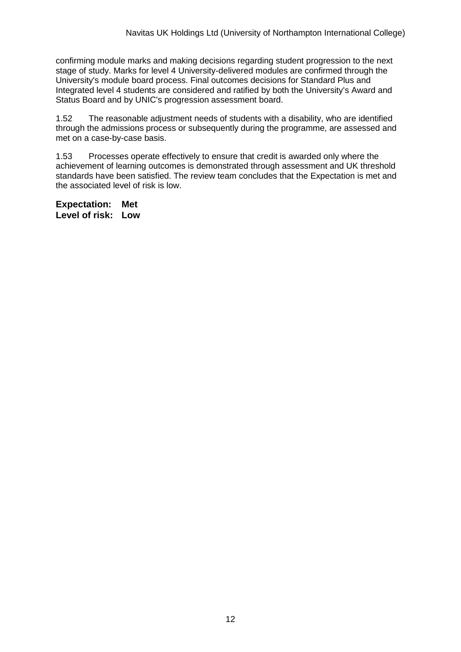confirming module marks and making decisions regarding student progression to the next stage of study. Marks for level 4 University-delivered modules are confirmed through the University's module board process. Final outcomes decisions for Standard Plus and Integrated level 4 students are considered and ratified by both the University's Award and Status Board and by UNIC's progression assessment board.

1.52 The reasonable adjustment needs of students with a disability, who are identified through the admissions process or subsequently during the programme, are assessed and met on a case-by-case basis.

1.53 Processes operate effectively to ensure that credit is awarded only where the achievement of learning outcomes is demonstrated through assessment and UK threshold standards have been satisfied. The review team concludes that the Expectation is met and the associated level of risk is low.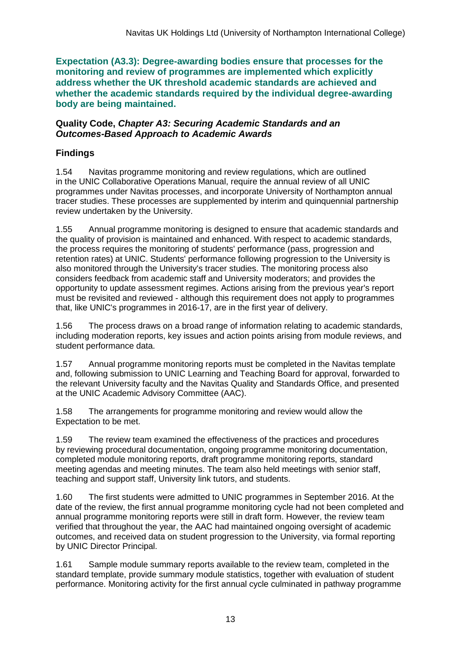**Expectation (A3.3): Degree-awarding bodies ensure that processes for the monitoring and review of programmes are implemented which explicitly address whether the UK threshold academic standards are achieved and whether the academic standards required by the individual degree-awarding body are being maintained.**

#### **Quality Code,** *Chapter A3: Securing Academic Standards and an Outcomes-Based Approach to Academic Awards*

## **Findings**

1.54 Navitas programme monitoring and review regulations, which are outlined in the UNIC Collaborative Operations Manual, require the annual review of all UNIC programmes under Navitas processes, and incorporate University of Northampton annual tracer studies. These processes are supplemented by interim and quinquennial partnership review undertaken by the University.

1.55 Annual programme monitoring is designed to ensure that academic standards and the quality of provision is maintained and enhanced. With respect to academic standards, the process requires the monitoring of students' performance (pass, progression and retention rates) at UNIC. Students' performance following progression to the University is also monitored through the University's tracer studies. The monitoring process also considers feedback from academic staff and University moderators; and provides the opportunity to update assessment regimes. Actions arising from the previous year's report must be revisited and reviewed - although this requirement does not apply to programmes that, like UNIC's programmes in 2016-17, are in the first year of delivery.

1.56 The process draws on a broad range of information relating to academic standards, including moderation reports, key issues and action points arising from module reviews, and student performance data.

1.57 Annual programme monitoring reports must be completed in the Navitas template and, following submission to UNIC Learning and Teaching Board for approval, forwarded to the relevant University faculty and the Navitas Quality and Standards Office, and presented at the UNIC Academic Advisory Committee (AAC).

1.58 The arrangements for programme monitoring and review would allow the Expectation to be met.

1.59 The review team examined the effectiveness of the practices and procedures by reviewing procedural documentation, ongoing programme monitoring documentation, completed module monitoring reports, draft programme monitoring reports, standard meeting agendas and meeting minutes. The team also held meetings with senior staff, teaching and support staff, University link tutors, and students.

1.60 The first students were admitted to UNIC programmes in September 2016. At the date of the review, the first annual programme monitoring cycle had not been completed and annual programme monitoring reports were still in draft form. However, the review team verified that throughout the year, the AAC had maintained ongoing oversight of academic outcomes, and received data on student progression to the University, via formal reporting by UNIC Director Principal.

1.61 Sample module summary reports available to the review team, completed in the standard template, provide summary module statistics, together with evaluation of student performance. Monitoring activity for the first annual cycle culminated in pathway programme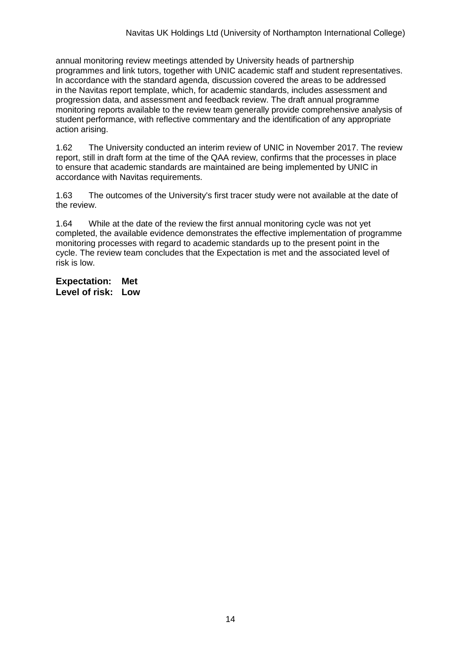annual monitoring review meetings attended by University heads of partnership programmes and link tutors, together with UNIC academic staff and student representatives. In accordance with the standard agenda, discussion covered the areas to be addressed in the Navitas report template, which, for academic standards, includes assessment and progression data, and assessment and feedback review. The draft annual programme monitoring reports available to the review team generally provide comprehensive analysis of student performance, with reflective commentary and the identification of any appropriate action arising.

1.62 The University conducted an interim review of UNIC in November 2017. The review report, still in draft form at the time of the QAA review, confirms that the processes in place to ensure that academic standards are maintained are being implemented by UNIC in accordance with Navitas requirements.

1.63 The outcomes of the University's first tracer study were not available at the date of the review.

1.64 While at the date of the review the first annual monitoring cycle was not yet completed, the available evidence demonstrates the effective implementation of programme monitoring processes with regard to academic standards up to the present point in the cycle. The review team concludes that the Expectation is met and the associated level of risk is low.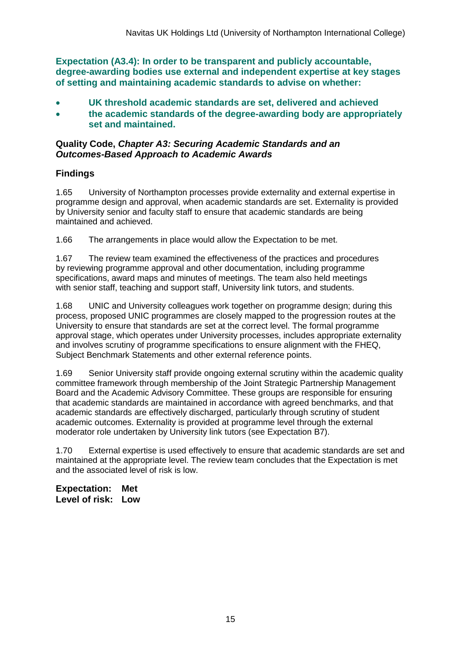**Expectation (A3.4): In order to be transparent and publicly accountable, degree-awarding bodies use external and independent expertise at key stages of setting and maintaining academic standards to advise on whether:**

- **UK threshold academic standards are set, delivered and achieved**
- **the academic standards of the degree-awarding body are appropriately set and maintained.**

#### **Quality Code,** *Chapter A3: Securing Academic Standards and an Outcomes-Based Approach to Academic Awards*

### **Findings**

1.65 University of Northampton processes provide externality and external expertise in programme design and approval, when academic standards are set. Externality is provided by University senior and faculty staff to ensure that academic standards are being maintained and achieved.

1.66 The arrangements in place would allow the Expectation to be met.

1.67 The review team examined the effectiveness of the practices and procedures by reviewing programme approval and other documentation, including programme specifications, award maps and minutes of meetings. The team also held meetings with senior staff, teaching and support staff, University link tutors, and students.

1.68 UNIC and University colleagues work together on programme design; during this process, proposed UNIC programmes are closely mapped to the progression routes at the University to ensure that standards are set at the correct level. The formal programme approval stage, which operates under University processes, includes appropriate externality and involves scrutiny of programme specifications to ensure alignment with the FHEQ, Subject Benchmark Statements and other external reference points.

1.69 Senior University staff provide ongoing external scrutiny within the academic quality committee framework through membership of the Joint Strategic Partnership Management Board and the Academic Advisory Committee. These groups are responsible for ensuring that academic standards are maintained in accordance with agreed benchmarks, and that academic standards are effectively discharged, particularly through scrutiny of student academic outcomes. Externality is provided at programme level through the external moderator role undertaken by University link tutors (see Expectation B7).

1.70 External expertise is used effectively to ensure that academic standards are set and maintained at the appropriate level. The review team concludes that the Expectation is met and the associated level of risk is low.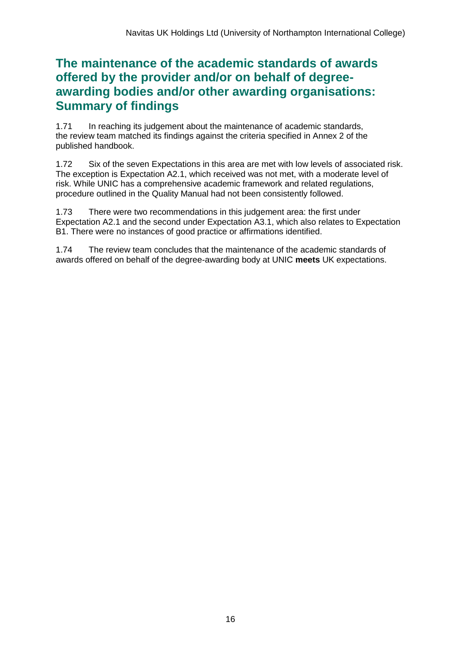## **The maintenance of the academic standards of awards offered by the provider and/or on behalf of degreeawarding bodies and/or other awarding organisations: Summary of findings**

1.71 In reaching its judgement about the maintenance of academic standards, the review team matched its findings against the criteria specified in Annex 2 of the published handbook.

1.72 Six of the seven Expectations in this area are met with low levels of associated risk. The exception is Expectation A2.1, which received was not met, with a moderate level of risk. While UNIC has a comprehensive academic framework and related regulations, procedure outlined in the Quality Manual had not been consistently followed.

1.73 There were two recommendations in this judgement area: the first under Expectation A2.1 and the second under Expectation A3.1, which also relates to Expectation B1. There were no instances of good practice or affirmations identified.

1.74 The review team concludes that the maintenance of the academic standards of awards offered on behalf of the degree-awarding body at UNIC **meets** UK expectations.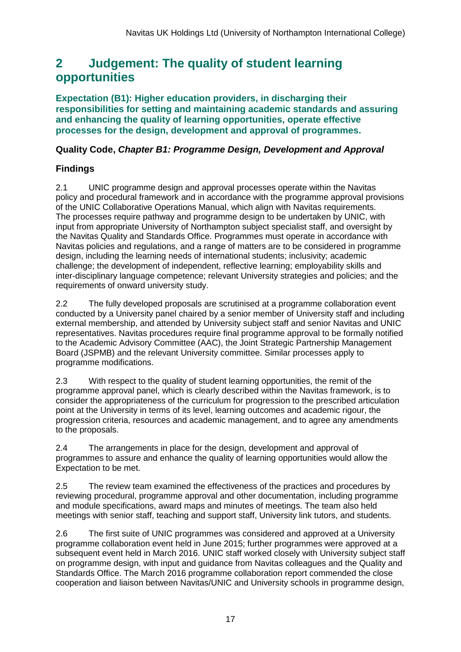## <span id="page-17-0"></span>**2 Judgement: The quality of student learning opportunities**

**Expectation (B1): Higher education providers, in discharging their responsibilities for setting and maintaining academic standards and assuring and enhancing the quality of learning opportunities, operate effective processes for the design, development and approval of programmes.**

### **Quality Code,** *Chapter B1: Programme Design, Development and Approval*

## **Findings**

2.1 UNIC programme design and approval processes operate within the Navitas policy and procedural framework and in accordance with the programme approval provisions of the UNIC Collaborative Operations Manual, which align with Navitas requirements. The processes require pathway and programme design to be undertaken by UNIC, with input from appropriate University of Northampton subject specialist staff, and oversight by the Navitas Quality and Standards Office. Programmes must operate in accordance with Navitas policies and regulations, and a range of matters are to be considered in programme design, including the learning needs of international students; inclusivity; academic challenge; the development of independent, reflective learning; employability skills and inter-disciplinary language competence; relevant University strategies and policies; and the requirements of onward university study.

2.2 The fully developed proposals are scrutinised at a programme collaboration event conducted by a University panel chaired by a senior member of University staff and including external membership, and attended by University subject staff and senior Navitas and UNIC representatives. Navitas procedures require final programme approval to be formally notified to the Academic Advisory Committee (AAC), the Joint Strategic Partnership Management Board (JSPMB) and the relevant University committee. Similar processes apply to programme modifications.

2.3 With respect to the quality of student learning opportunities, the remit of the programme approval panel, which is clearly described within the Navitas framework, is to consider the appropriateness of the curriculum for progression to the prescribed articulation point at the University in terms of its level, learning outcomes and academic rigour, the progression criteria, resources and academic management, and to agree any amendments to the proposals.

2.4 The arrangements in place for the design, development and approval of programmes to assure and enhance the quality of learning opportunities would allow the Expectation to be met.

2.5 The review team examined the effectiveness of the practices and procedures by reviewing procedural, programme approval and other documentation, including programme and module specifications, award maps and minutes of meetings. The team also held meetings with senior staff, teaching and support staff, University link tutors, and students.

2.6 The first suite of UNIC programmes was considered and approved at a University programme collaboration event held in June 2015; further programmes were approved at a subsequent event held in March 2016. UNIC staff worked closely with University subject staff on programme design, with input and guidance from Navitas colleagues and the Quality and Standards Office. The March 2016 programme collaboration report commended the close cooperation and liaison between Navitas/UNIC and University schools in programme design,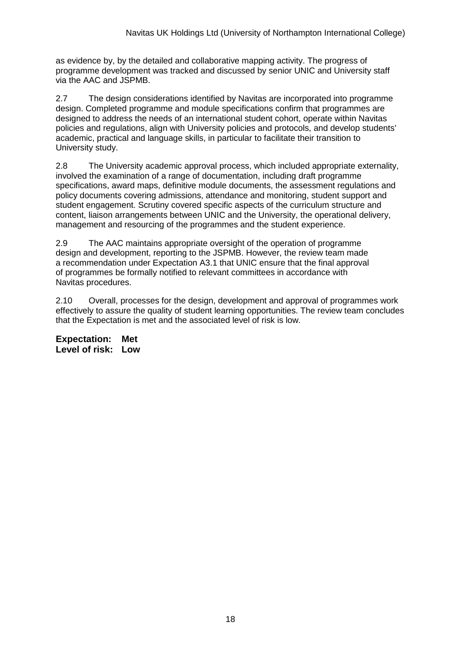as evidence by, by the detailed and collaborative mapping activity. The progress of programme development was tracked and discussed by senior UNIC and University staff via the AAC and JSPMB.

2.7 The design considerations identified by Navitas are incorporated into programme design. Completed programme and module specifications confirm that programmes are designed to address the needs of an international student cohort, operate within Navitas policies and regulations, align with University policies and protocols, and develop students' academic, practical and language skills, in particular to facilitate their transition to University study.

2.8 The University academic approval process, which included appropriate externality, involved the examination of a range of documentation, including draft programme specifications, award maps, definitive module documents, the assessment regulations and policy documents covering admissions, attendance and monitoring, student support and student engagement. Scrutiny covered specific aspects of the curriculum structure and content, liaison arrangements between UNIC and the University, the operational delivery, management and resourcing of the programmes and the student experience.

2.9 The AAC maintains appropriate oversight of the operation of programme design and development, reporting to the JSPMB. However, the review team made a recommendation under Expectation A3.1 that UNIC ensure that the final approval of programmes be formally notified to relevant committees in accordance with Navitas procedures.

2.10 Overall, processes for the design, development and approval of programmes work effectively to assure the quality of student learning opportunities. The review team concludes that the Expectation is met and the associated level of risk is low.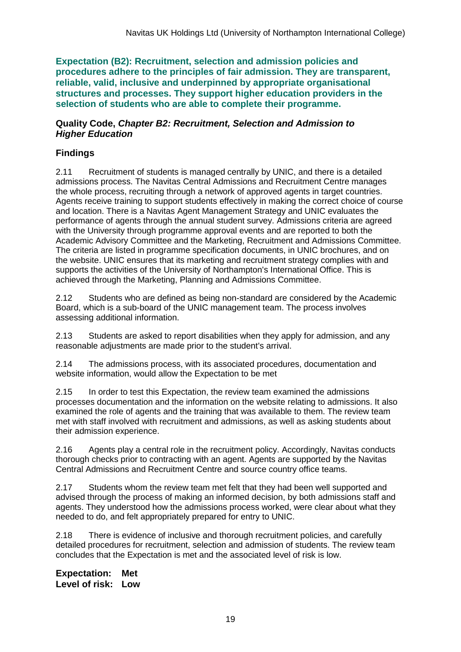**Expectation (B2): Recruitment, selection and admission policies and procedures adhere to the principles of fair admission. They are transparent, reliable, valid, inclusive and underpinned by appropriate organisational structures and processes. They support higher education providers in the selection of students who are able to complete their programme.**

#### **Quality Code,** *Chapter B2: Recruitment, Selection and Admission to Higher Education*

## **Findings**

2.11 Recruitment of students is managed centrally by UNIC, and there is a detailed admissions process. The Navitas Central Admissions and Recruitment Centre manages the whole process, recruiting through a network of approved agents in target countries. Agents receive training to support students effectively in making the correct choice of course and location. There is a Navitas Agent Management Strategy and UNIC evaluates the performance of agents through the annual student survey. Admissions criteria are agreed with the University through programme approval events and are reported to both the Academic Advisory Committee and the Marketing, Recruitment and Admissions Committee. The criteria are listed in programme specification documents, in UNIC brochures, and on the website. UNIC ensures that its marketing and recruitment strategy complies with and supports the activities of the University of Northampton's International Office. This is achieved through the Marketing, Planning and Admissions Committee.

2.12 Students who are defined as being non-standard are considered by the Academic Board, which is a sub-board of the UNIC management team. The process involves assessing additional information.

2.13 Students are asked to report disabilities when they apply for admission, and any reasonable adjustments are made prior to the student's arrival.

2.14 The admissions process, with its associated procedures, documentation and website information, would allow the Expectation to be met

2.15 In order to test this Expectation, the review team examined the admissions processes documentation and the information on the website relating to admissions. It also examined the role of agents and the training that was available to them. The review team met with staff involved with recruitment and admissions, as well as asking students about their admission experience.

2.16 Agents play a central role in the recruitment policy. Accordingly, Navitas conducts thorough checks prior to contracting with an agent. Agents are supported by the Navitas Central Admissions and Recruitment Centre and source country office teams.

2.17 Students whom the review team met felt that they had been well supported and advised through the process of making an informed decision, by both admissions staff and agents. They understood how the admissions process worked, were clear about what they needed to do, and felt appropriately prepared for entry to UNIC.

2.18 There is evidence of inclusive and thorough recruitment policies, and carefully detailed procedures for recruitment, selection and admission of students. The review team concludes that the Expectation is met and the associated level of risk is low.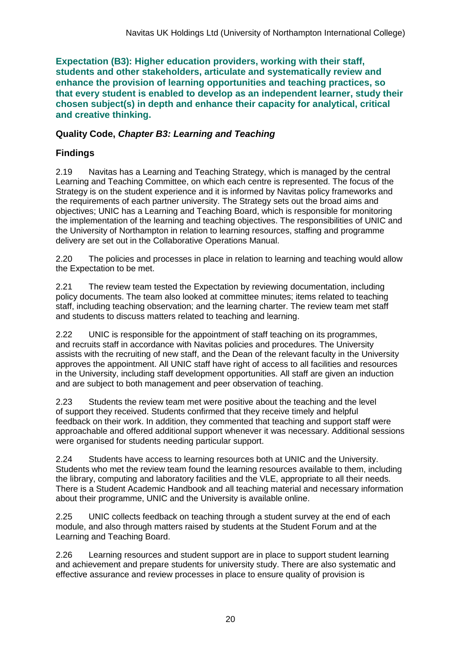**Expectation (B3): Higher education providers, working with their staff, students and other stakeholders, articulate and systematically review and enhance the provision of learning opportunities and teaching practices, so that every student is enabled to develop as an independent learner, study their chosen subject(s) in depth and enhance their capacity for analytical, critical and creative thinking.**

### **Quality Code,** *Chapter B3: Learning and Teaching*

## **Findings**

2.19 Navitas has a Learning and Teaching Strategy, which is managed by the central Learning and Teaching Committee, on which each centre is represented. The focus of the Strategy is on the student experience and it is informed by Navitas policy frameworks and the requirements of each partner university. The Strategy sets out the broad aims and objectives; UNIC has a Learning and Teaching Board, which is responsible for monitoring the implementation of the learning and teaching objectives. The responsibilities of UNIC and the University of Northampton in relation to learning resources, staffing and programme delivery are set out in the Collaborative Operations Manual.

2.20 The policies and processes in place in relation to learning and teaching would allow the Expectation to be met.

2.21 The review team tested the Expectation by reviewing documentation, including policy documents. The team also looked at committee minutes; items related to teaching staff, including teaching observation; and the learning charter. The review team met staff and students to discuss matters related to teaching and learning.

2.22 UNIC is responsible for the appointment of staff teaching on its programmes, and recruits staff in accordance with Navitas policies and procedures. The University assists with the recruiting of new staff, and the Dean of the relevant faculty in the University approves the appointment. All UNIC staff have right of access to all facilities and resources in the University, including staff development opportunities. All staff are given an induction and are subject to both management and peer observation of teaching.

2.23 Students the review team met were positive about the teaching and the level of support they received. Students confirmed that they receive timely and helpful feedback on their work. In addition, they commented that teaching and support staff were approachable and offered additional support whenever it was necessary. Additional sessions were organised for students needing particular support.

2.24 Students have access to learning resources both at UNIC and the University. Students who met the review team found the learning resources available to them, including the library, computing and laboratory facilities and the VLE, appropriate to all their needs. There is a Student Academic Handbook and all teaching material and necessary information about their programme, UNIC and the University is available online.

2.25 UNIC collects feedback on teaching through a student survey at the end of each module, and also through matters raised by students at the Student Forum and at the Learning and Teaching Board.

2.26 Learning resources and student support are in place to support student learning and achievement and prepare students for university study. There are also systematic and effective assurance and review processes in place to ensure quality of provision is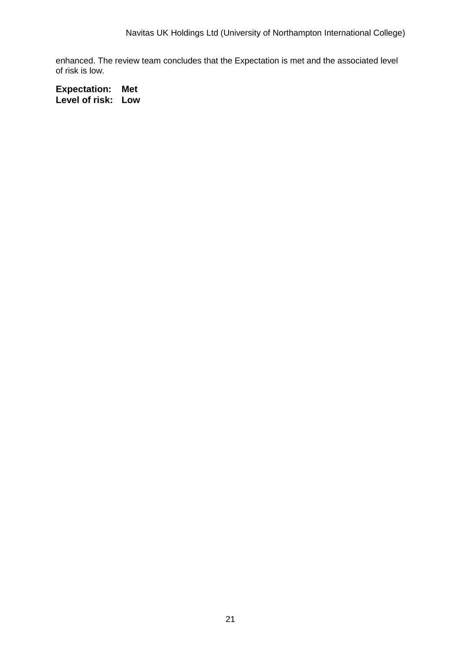enhanced. The review team concludes that the Expectation is met and the associated level of risk is low.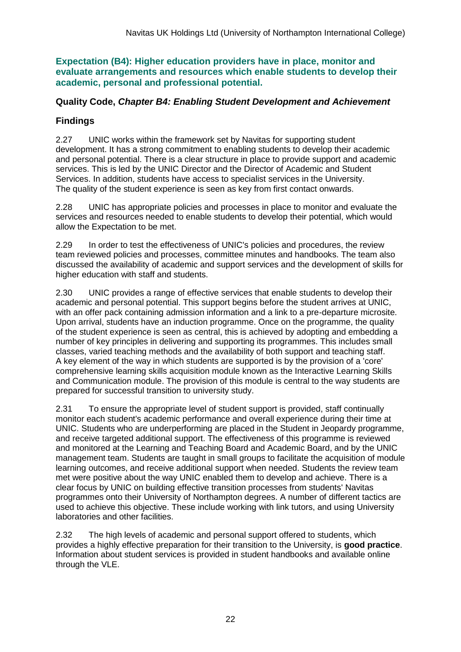**Expectation (B4): Higher education providers have in place, monitor and evaluate arrangements and resources which enable students to develop their academic, personal and professional potential.**

### **Quality Code,** *Chapter B4: Enabling Student Development and Achievement*

## **Findings**

2.27 UNIC works within the framework set by Navitas for supporting student development. It has a strong commitment to enabling students to develop their academic and personal potential. There is a clear structure in place to provide support and academic services. This is led by the UNIC Director and the Director of Academic and Student Services. In addition, students have access to specialist services in the University. The quality of the student experience is seen as key from first contact onwards.

2.28 UNIC has appropriate policies and processes in place to monitor and evaluate the services and resources needed to enable students to develop their potential, which would allow the Expectation to be met.

2.29 In order to test the effectiveness of UNIC's policies and procedures, the review team reviewed policies and processes, committee minutes and handbooks. The team also discussed the availability of academic and support services and the development of skills for higher education with staff and students.

2.30 UNIC provides a range of effective services that enable students to develop their academic and personal potential. This support begins before the student arrives at UNIC, with an offer pack containing admission information and a link to a pre-departure microsite. Upon arrival, students have an induction programme. Once on the programme, the quality of the student experience is seen as central, this is achieved by adopting and embedding a number of key principles in delivering and supporting its programmes. This includes small classes, varied teaching methods and the availability of both support and teaching staff. A key element of the way in which students are supported is by the provision of a 'core' comprehensive learning skills acquisition module known as the Interactive Learning Skills and Communication module. The provision of this module is central to the way students are prepared for successful transition to university study.

2.31 To ensure the appropriate level of student support is provided, staff continually monitor each student's academic performance and overall experience during their time at UNIC. Students who are underperforming are placed in the Student in Jeopardy programme, and receive targeted additional support. The effectiveness of this programme is reviewed and monitored at the Learning and Teaching Board and Academic Board, and by the UNIC management team. Students are taught in small groups to facilitate the acquisition of module learning outcomes, and receive additional support when needed. Students the review team met were positive about the way UNIC enabled them to develop and achieve. There is a clear focus by UNIC on building effective transition processes from students' Navitas programmes onto their University of Northampton degrees. A number of different tactics are used to achieve this objective. These include working with link tutors, and using University laboratories and other facilities.

2.32 The high levels of academic and personal support offered to students, which provides a highly effective preparation for their transition to the University, is **good practice**. Information about student services is provided in student handbooks and available online through the VLE.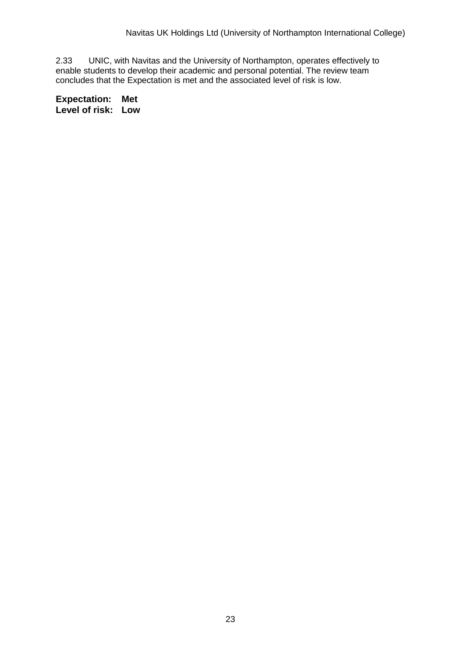2.33 UNIC, with Navitas and the University of Northampton, operates effectively to enable students to develop their academic and personal potential. The review team concludes that the Expectation is met and the associated level of risk is low.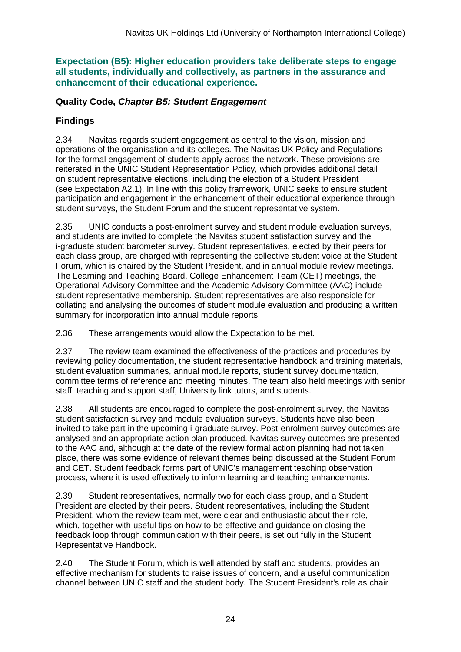**Expectation (B5): Higher education providers take deliberate steps to engage all students, individually and collectively, as partners in the assurance and enhancement of their educational experience.**

### **Quality Code,** *Chapter B5: Student Engagement*

## **Findings**

2.34 Navitas regards student engagement as central to the vision, mission and operations of the organisation and its colleges. The Navitas UK Policy and Regulations for the formal engagement of students apply across the network. These provisions are reiterated in the UNIC Student Representation Policy, which provides additional detail on student representative elections, including the election of a Student President (see Expectation A2.1). In line with this policy framework, UNIC seeks to ensure student participation and engagement in the enhancement of their educational experience through student surveys, the Student Forum and the student representative system.

2.35 UNIC conducts a post-enrolment survey and student module evaluation surveys, and students are invited to complete the Navitas student satisfaction survey and the i-graduate student barometer survey. Student representatives, elected by their peers for each class group, are charged with representing the collective student voice at the Student Forum, which is chaired by the Student President, and in annual module review meetings. The Learning and Teaching Board, College Enhancement Team (CET) meetings, the Operational Advisory Committee and the Academic Advisory Committee (AAC) include student representative membership. Student representatives are also responsible for collating and analysing the outcomes of student module evaluation and producing a written summary for incorporation into annual module reports

2.36 These arrangements would allow the Expectation to be met.

2.37 The review team examined the effectiveness of the practices and procedures by reviewing policy documentation, the student representative handbook and training materials, student evaluation summaries, annual module reports, student survey documentation, committee terms of reference and meeting minutes. The team also held meetings with senior staff, teaching and support staff, University link tutors, and students.

2.38 All students are encouraged to complete the post-enrolment survey, the Navitas student satisfaction survey and module evaluation surveys. Students have also been invited to take part in the upcoming i-graduate survey. Post-enrolment survey outcomes are analysed and an appropriate action plan produced. Navitas survey outcomes are presented to the AAC and, although at the date of the review formal action planning had not taken place, there was some evidence of relevant themes being discussed at the Student Forum and CET. Student feedback forms part of UNIC's management teaching observation process, where it is used effectively to inform learning and teaching enhancements.

2.39 Student representatives, normally two for each class group, and a Student President are elected by their peers. Student representatives, including the Student President, whom the review team met, were clear and enthusiastic about their role, which, together with useful tips on how to be effective and guidance on closing the feedback loop through communication with their peers, is set out fully in the Student Representative Handbook.

2.40 The Student Forum, which is well attended by staff and students, provides an effective mechanism for students to raise issues of concern, and a useful communication channel between UNIC staff and the student body. The Student President's role as chair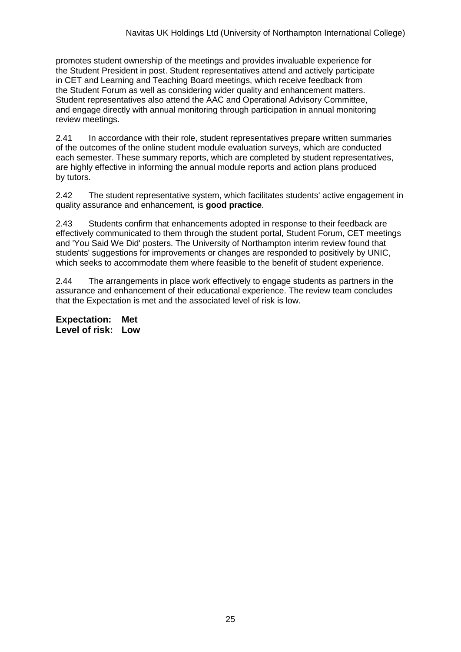promotes student ownership of the meetings and provides invaluable experience for the Student President in post. Student representatives attend and actively participate in CET and Learning and Teaching Board meetings, which receive feedback from the Student Forum as well as considering wider quality and enhancement matters. Student representatives also attend the AAC and Operational Advisory Committee, and engage directly with annual monitoring through participation in annual monitoring review meetings.

2.41 In accordance with their role, student representatives prepare written summaries of the outcomes of the online student module evaluation surveys, which are conducted each semester. These summary reports, which are completed by student representatives, are highly effective in informing the annual module reports and action plans produced by tutors.

2.42 The student representative system, which facilitates students' active engagement in quality assurance and enhancement, is **good practice**.

2.43 Students confirm that enhancements adopted in response to their feedback are effectively communicated to them through the student portal, Student Forum, CET meetings and 'You Said We Did' posters. The University of Northampton interim review found that students' suggestions for improvements or changes are responded to positively by UNIC, which seeks to accommodate them where feasible to the benefit of student experience.

2.44 The arrangements in place work effectively to engage students as partners in the assurance and enhancement of their educational experience. The review team concludes that the Expectation is met and the associated level of risk is low.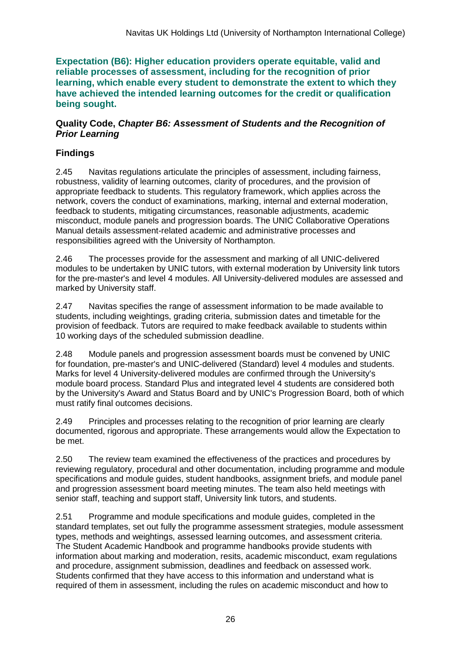**Expectation (B6): Higher education providers operate equitable, valid and reliable processes of assessment, including for the recognition of prior learning, which enable every student to demonstrate the extent to which they have achieved the intended learning outcomes for the credit or qualification being sought.**

#### **Quality Code,** *Chapter B6: Assessment of Students and the Recognition of Prior Learning*

## **Findings**

2.45 Navitas regulations articulate the principles of assessment, including fairness, robustness, validity of learning outcomes, clarity of procedures, and the provision of appropriate feedback to students. This regulatory framework, which applies across the network, covers the conduct of examinations, marking, internal and external moderation, feedback to students, mitigating circumstances, reasonable adjustments, academic misconduct, module panels and progression boards. The UNIC Collaborative Operations Manual details assessment-related academic and administrative processes and responsibilities agreed with the University of Northampton.

2.46 The processes provide for the assessment and marking of all UNIC-delivered modules to be undertaken by UNIC tutors, with external moderation by University link tutors for the pre-master's and level 4 modules. All University-delivered modules are assessed and marked by University staff.

2.47 Navitas specifies the range of assessment information to be made available to students, including weightings, grading criteria, submission dates and timetable for the provision of feedback. Tutors are required to make feedback available to students within 10 working days of the scheduled submission deadline.

2.48 Module panels and progression assessment boards must be convened by UNIC for foundation, pre-master's and UNIC-delivered (Standard) level 4 modules and students. Marks for level 4 University-delivered modules are confirmed through the University's module board process. Standard Plus and integrated level 4 students are considered both by the University's Award and Status Board and by UNIC's Progression Board, both of which must ratify final outcomes decisions.

2.49 Principles and processes relating to the recognition of prior learning are clearly documented, rigorous and appropriate. These arrangements would allow the Expectation to be met.

2.50 The review team examined the effectiveness of the practices and procedures by reviewing regulatory, procedural and other documentation, including programme and module specifications and module guides, student handbooks, assignment briefs, and module panel and progression assessment board meeting minutes. The team also held meetings with senior staff, teaching and support staff, University link tutors, and students.

2.51 Programme and module specifications and module guides, completed in the standard templates, set out fully the programme assessment strategies, module assessment types, methods and weightings, assessed learning outcomes, and assessment criteria. The Student Academic Handbook and programme handbooks provide students with information about marking and moderation, resits, academic misconduct, exam regulations and procedure, assignment submission, deadlines and feedback on assessed work. Students confirmed that they have access to this information and understand what is required of them in assessment, including the rules on academic misconduct and how to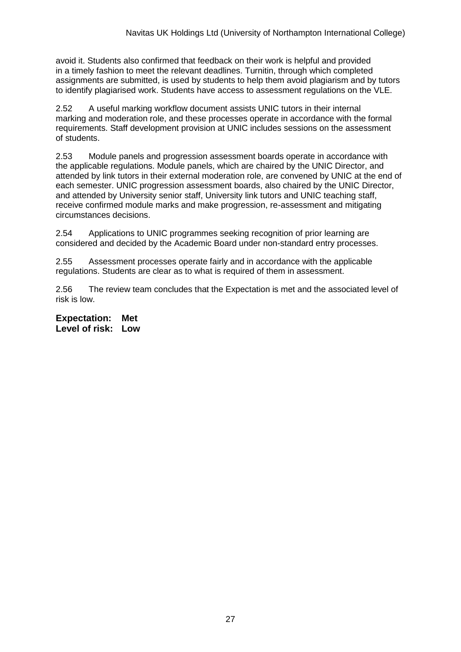avoid it. Students also confirmed that feedback on their work is helpful and provided in a timely fashion to meet the relevant deadlines. Turnitin, through which completed assignments are submitted, is used by students to help them avoid plagiarism and by tutors to identify plagiarised work. Students have access to assessment regulations on the VLE.

2.52 A useful marking workflow document assists UNIC tutors in their internal marking and moderation role, and these processes operate in accordance with the formal requirements. Staff development provision at UNIC includes sessions on the assessment of students.

2.53 Module panels and progression assessment boards operate in accordance with the applicable regulations. Module panels, which are chaired by the UNIC Director, and attended by link tutors in their external moderation role, are convened by UNIC at the end of each semester. UNIC progression assessment boards, also chaired by the UNIC Director, and attended by University senior staff, University link tutors and UNIC teaching staff, receive confirmed module marks and make progression, re-assessment and mitigating circumstances decisions.

2.54 Applications to UNIC programmes seeking recognition of prior learning are considered and decided by the Academic Board under non-standard entry processes.

2.55 Assessment processes operate fairly and in accordance with the applicable regulations. Students are clear as to what is required of them in assessment.

2.56 The review team concludes that the Expectation is met and the associated level of risk is low.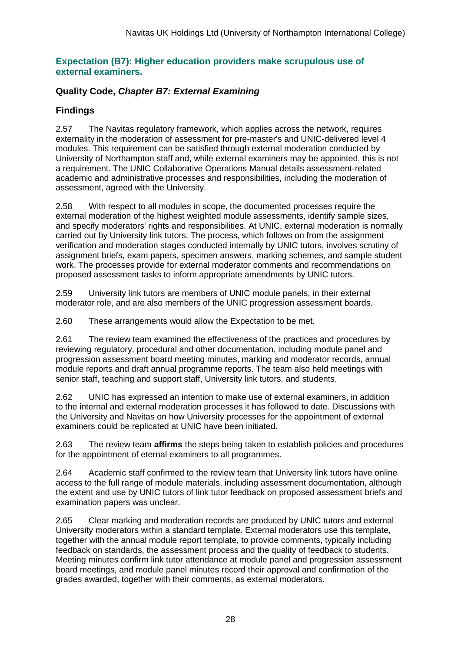### **Expectation (B7): Higher education providers make scrupulous use of external examiners.**

### **Quality Code,** *Chapter B7: External Examining*

## **Findings**

2.57 The Navitas regulatory framework, which applies across the network, requires externality in the moderation of assessment for pre-master's and UNIC-delivered level 4 modules. This requirement can be satisfied through external moderation conducted by University of Northampton staff and, while external examiners may be appointed, this is not a requirement. The UNIC Collaborative Operations Manual details assessment-related academic and administrative processes and responsibilities, including the moderation of assessment, agreed with the University.

2.58 With respect to all modules in scope, the documented processes require the external moderation of the highest weighted module assessments, identify sample sizes, and specify moderators' rights and responsibilities. At UNIC, external moderation is normally carried out by University link tutors. The process, which follows on from the assignment verification and moderation stages conducted internally by UNIC tutors, involves scrutiny of assignment briefs, exam papers, specimen answers, marking schemes, and sample student work. The processes provide for external moderator comments and recommendations on proposed assessment tasks to inform appropriate amendments by UNIC tutors.

2.59 University link tutors are members of UNIC module panels, in their external moderator role, and are also members of the UNIC progression assessment boards.

2.60 These arrangements would allow the Expectation to be met.

2.61 The review team examined the effectiveness of the practices and procedures by reviewing regulatory, procedural and other documentation, including module panel and progression assessment board meeting minutes, marking and moderator records, annual module reports and draft annual programme reports. The team also held meetings with senior staff, teaching and support staff, University link tutors, and students.

2.62 UNIC has expressed an intention to make use of external examiners, in addition to the internal and external moderation processes it has followed to date. Discussions with the University and Navitas on how University processes for the appointment of external examiners could be replicated at UNIC have been initiated.

2.63 The review team **affirms** the steps being taken to establish policies and procedures for the appointment of eternal examiners to all programmes.

2.64 Academic staff confirmed to the review team that University link tutors have online access to the full range of module materials, including assessment documentation, although the extent and use by UNIC tutors of link tutor feedback on proposed assessment briefs and examination papers was unclear.

2.65 Clear marking and moderation records are produced by UNIC tutors and external University moderators within a standard template. External moderators use this template, together with the annual module report template, to provide comments, typically including feedback on standards, the assessment process and the quality of feedback to students. Meeting minutes confirm link tutor attendance at module panel and progression assessment board meetings, and module panel minutes record their approval and confirmation of the grades awarded, together with their comments, as external moderators.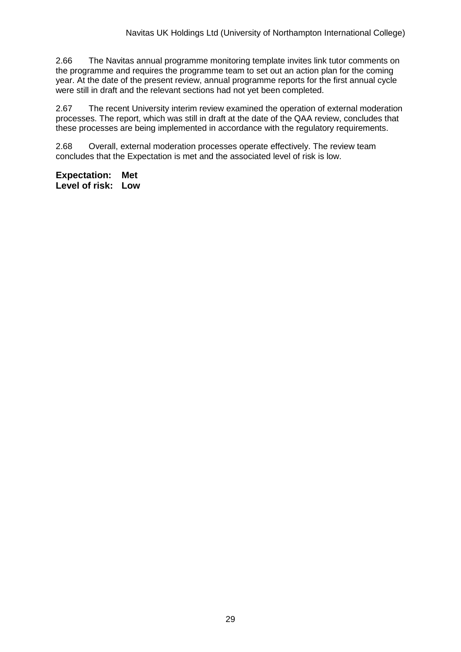2.66 The Navitas annual programme monitoring template invites link tutor comments on the programme and requires the programme team to set out an action plan for the coming year. At the date of the present review, annual programme reports for the first annual cycle were still in draft and the relevant sections had not yet been completed.

2.67 The recent University interim review examined the operation of external moderation processes. The report, which was still in draft at the date of the QAA review, concludes that these processes are being implemented in accordance with the regulatory requirements.

2.68 Overall, external moderation processes operate effectively. The review team concludes that the Expectation is met and the associated level of risk is low.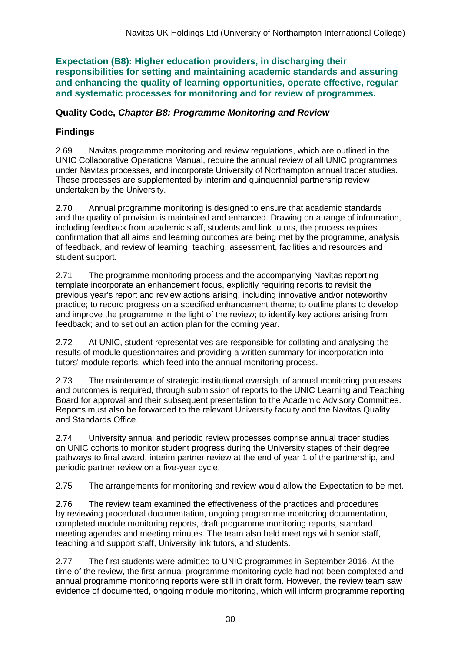**Expectation (B8): Higher education providers, in discharging their responsibilities for setting and maintaining academic standards and assuring and enhancing the quality of learning opportunities, operate effective, regular and systematic processes for monitoring and for review of programmes.**

### **Quality Code,** *Chapter B8: Programme Monitoring and Review*

## **Findings**

2.69 Navitas programme monitoring and review regulations, which are outlined in the UNIC Collaborative Operations Manual, require the annual review of all UNIC programmes under Navitas processes, and incorporate University of Northampton annual tracer studies. These processes are supplemented by interim and quinquennial partnership review undertaken by the University.

2.70 Annual programme monitoring is designed to ensure that academic standards and the quality of provision is maintained and enhanced. Drawing on a range of information, including feedback from academic staff, students and link tutors, the process requires confirmation that all aims and learning outcomes are being met by the programme, analysis of feedback, and review of learning, teaching, assessment, facilities and resources and student support.

2.71 The programme monitoring process and the accompanying Navitas reporting template incorporate an enhancement focus, explicitly requiring reports to revisit the previous year's report and review actions arising, including innovative and/or noteworthy practice; to record progress on a specified enhancement theme; to outline plans to develop and improve the programme in the light of the review; to identify key actions arising from feedback; and to set out an action plan for the coming year.

2.72 At UNIC, student representatives are responsible for collating and analysing the results of module questionnaires and providing a written summary for incorporation into tutors' module reports, which feed into the annual monitoring process.

2.73 The maintenance of strategic institutional oversight of annual monitoring processes and outcomes is required, through submission of reports to the UNIC Learning and Teaching Board for approval and their subsequent presentation to the Academic Advisory Committee. Reports must also be forwarded to the relevant University faculty and the Navitas Quality and Standards Office.

2.74 University annual and periodic review processes comprise annual tracer studies on UNIC cohorts to monitor student progress during the University stages of their degree pathways to final award, interim partner review at the end of year 1 of the partnership, and periodic partner review on a five-year cycle.

2.75 The arrangements for monitoring and review would allow the Expectation to be met.

2.76 The review team examined the effectiveness of the practices and procedures by reviewing procedural documentation, ongoing programme monitoring documentation, completed module monitoring reports, draft programme monitoring reports, standard meeting agendas and meeting minutes. The team also held meetings with senior staff, teaching and support staff, University link tutors, and students.

2.77 The first students were admitted to UNIC programmes in September 2016. At the time of the review, the first annual programme monitoring cycle had not been completed and annual programme monitoring reports were still in draft form. However, the review team saw evidence of documented, ongoing module monitoring, which will inform programme reporting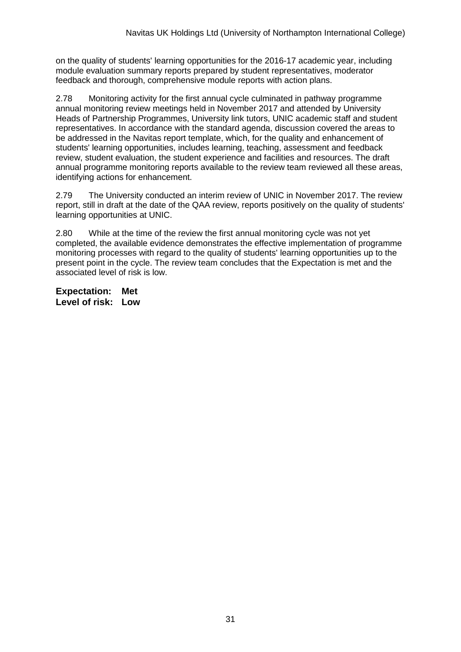on the quality of students' learning opportunities for the 2016-17 academic year, including module evaluation summary reports prepared by student representatives, moderator feedback and thorough, comprehensive module reports with action plans.

2.78 Monitoring activity for the first annual cycle culminated in pathway programme annual monitoring review meetings held in November 2017 and attended by University Heads of Partnership Programmes, University link tutors, UNIC academic staff and student representatives. In accordance with the standard agenda, discussion covered the areas to be addressed in the Navitas report template, which, for the quality and enhancement of students' learning opportunities, includes learning, teaching, assessment and feedback review, student evaluation, the student experience and facilities and resources. The draft annual programme monitoring reports available to the review team reviewed all these areas, identifying actions for enhancement.

2.79 The University conducted an interim review of UNIC in November 2017. The review report, still in draft at the date of the QAA review, reports positively on the quality of students' learning opportunities at UNIC.

2.80 While at the time of the review the first annual monitoring cycle was not yet completed, the available evidence demonstrates the effective implementation of programme monitoring processes with regard to the quality of students' learning opportunities up to the present point in the cycle. The review team concludes that the Expectation is met and the associated level of risk is low.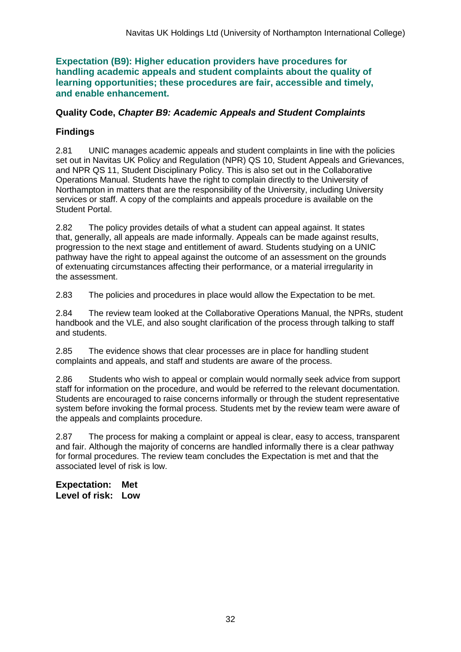**Expectation (B9): Higher education providers have procedures for handling academic appeals and student complaints about the quality of learning opportunities; these procedures are fair, accessible and timely, and enable enhancement.** 

### **Quality Code,** *Chapter B9: Academic Appeals and Student Complaints*

## **Findings**

2.81 UNIC manages academic appeals and student complaints in line with the policies set out in Navitas UK Policy and Regulation (NPR) QS 10, Student Appeals and Grievances, and NPR QS 11, Student Disciplinary Policy. This is also set out in the Collaborative Operations Manual. Students have the right to complain directly to the University of Northampton in matters that are the responsibility of the University, including University services or staff. A copy of the complaints and appeals procedure is available on the Student Portal.

2.82 The policy provides details of what a student can appeal against. It states that, generally, all appeals are made informally. Appeals can be made against results, progression to the next stage and entitlement of award. Students studying on a UNIC pathway have the right to appeal against the outcome of an assessment on the grounds of extenuating circumstances affecting their performance, or a material irregularity in the assessment.

2.83 The policies and procedures in place would allow the Expectation to be met.

2.84 The review team looked at the Collaborative Operations Manual, the NPRs, student handbook and the VLE, and also sought clarification of the process through talking to staff and students.

2.85 The evidence shows that clear processes are in place for handling student complaints and appeals, and staff and students are aware of the process.

2.86 Students who wish to appeal or complain would normally seek advice from support staff for information on the procedure, and would be referred to the relevant documentation. Students are encouraged to raise concerns informally or through the student representative system before invoking the formal process. Students met by the review team were aware of the appeals and complaints procedure.

2.87 The process for making a complaint or appeal is clear, easy to access, transparent and fair. Although the majority of concerns are handled informally there is a clear pathway for formal procedures. The review team concludes the Expectation is met and that the associated level of risk is low.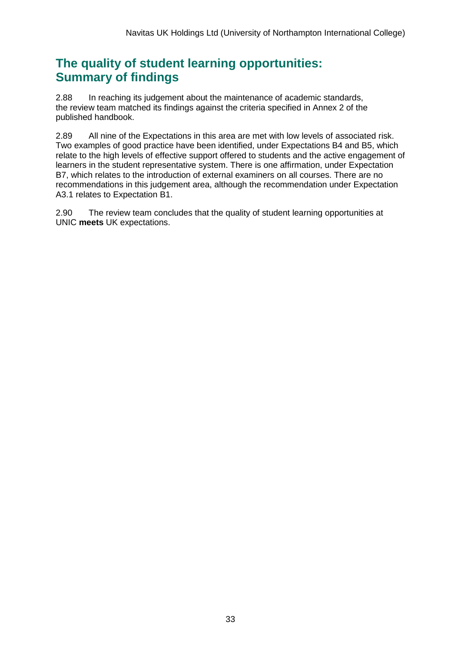## **The quality of student learning opportunities: Summary of findings**

2.88 In reaching its judgement about the maintenance of academic standards, the review team matched its findings against the criteria specified in Annex 2 of the published handbook.

2.89 All nine of the Expectations in this area are met with low levels of associated risk. Two examples of good practice have been identified, under Expectations B4 and B5, which relate to the high levels of effective support offered to students and the active engagement of learners in the student representative system. There is one affirmation, under Expectation B7, which relates to the introduction of external examiners on all courses. There are no recommendations in this judgement area, although the recommendation under Expectation A3.1 relates to Expectation B1.

2.90 The review team concludes that the quality of student learning opportunities at UNIC **meets** UK expectations.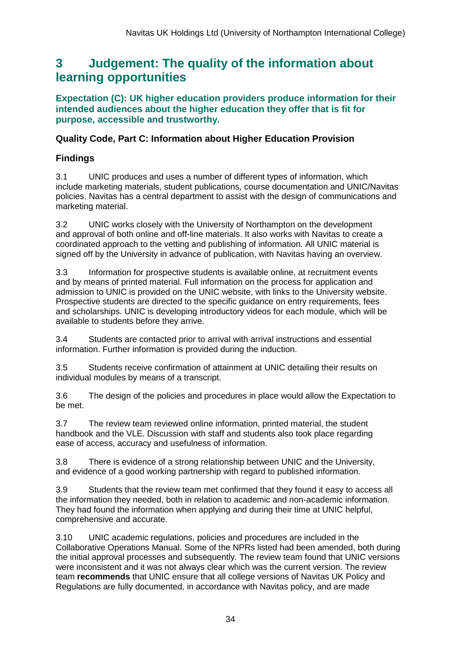## <span id="page-34-0"></span>**3 Judgement: The quality of the information about learning opportunities**

**Expectation (C): UK higher education providers produce information for their intended audiences about the higher education they offer that is fit for purpose, accessible and trustworthy.**

### **Quality Code, Part C: Information about Higher Education Provision**

## **Findings**

3.1 UNIC produces and uses a number of different types of information, which include marketing materials, student publications, course documentation and UNIC/Navitas policies. Navitas has a central department to assist with the design of communications and marketing material.

3.2 UNIC works closely with the University of Northampton on the development and approval of both online and off-line materials. It also works with Navitas to create a coordinated approach to the vetting and publishing of information. All UNIC material is signed off by the University in advance of publication, with Navitas having an overview.

3.3 Information for prospective students is available online, at recruitment events and by means of printed material. Full information on the process for application and admission to UNIC is provided on the UNIC website, with links to the University website. Prospective students are directed to the specific guidance on entry requirements, fees and scholarships. UNIC is developing introductory videos for each module, which will be available to students before they arrive.

3.4 Students are contacted prior to arrival with arrival instructions and essential information. Further information is provided during the induction.

3.5 Students receive confirmation of attainment at UNIC detailing their results on individual modules by means of a transcript.

3.6 The design of the policies and procedures in place would allow the Expectation to be met.

3.7 The review team reviewed online information, printed material, the student handbook and the VLE. Discussion with staff and students also took place regarding ease of access, accuracy and usefulness of information.

3.8 There is evidence of a strong relationship between UNIC and the University, and evidence of a good working partnership with regard to published information.

3.9 Students that the review team met confirmed that they found it easy to access all the information they needed, both in relation to academic and non-academic information. They had found the information when applying and during their time at UNIC helpful, comprehensive and accurate.

3.10 UNIC academic regulations, policies and procedures are included in the Collaborative Operations Manual. Some of the NPRs listed had been amended, both during the initial approval processes and subsequently. The review team found that UNIC versions were inconsistent and it was not always clear which was the current version. The review team **recommends** that UNIC ensure that all college versions of Navitas UK Policy and Regulations are fully documented, in accordance with Navitas policy, and are made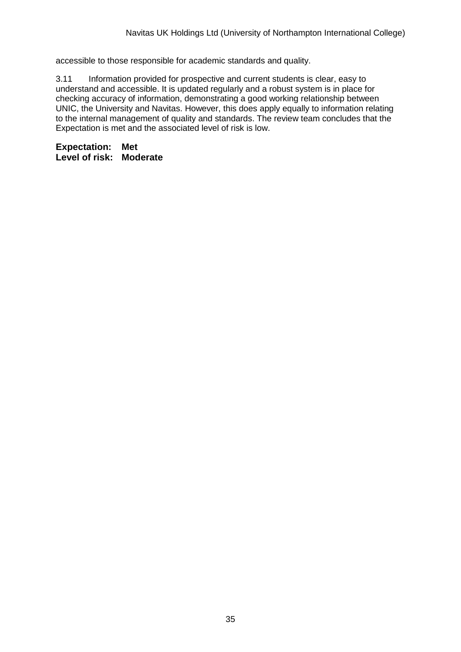accessible to those responsible for academic standards and quality.

3.11 Information provided for prospective and current students is clear, easy to understand and accessible. It is updated regularly and a robust system is in place for checking accuracy of information, demonstrating a good working relationship between UNIC, the University and Navitas. However, this does apply equally to information relating to the internal management of quality and standards. The review team concludes that the Expectation is met and the associated level of risk is low.

**Expectation: Met Level of risk: Moderate**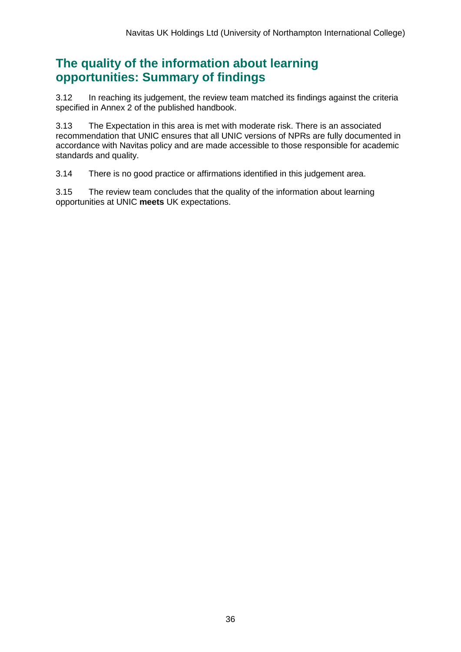## **The quality of the information about learning opportunities: Summary of findings**

3.12 In reaching its judgement, the review team matched its findings against the criteria specified in Annex 2 of the published handbook.

3.13 The Expectation in this area is met with moderate risk. There is an associated recommendation that UNIC ensures that all UNIC versions of NPRs are fully documented in accordance with Navitas policy and are made accessible to those responsible for academic standards and quality.

3.14 There is no good practice or affirmations identified in this judgement area.

3.15 The review team concludes that the quality of the information about learning opportunities at UNIC **meets** UK expectations.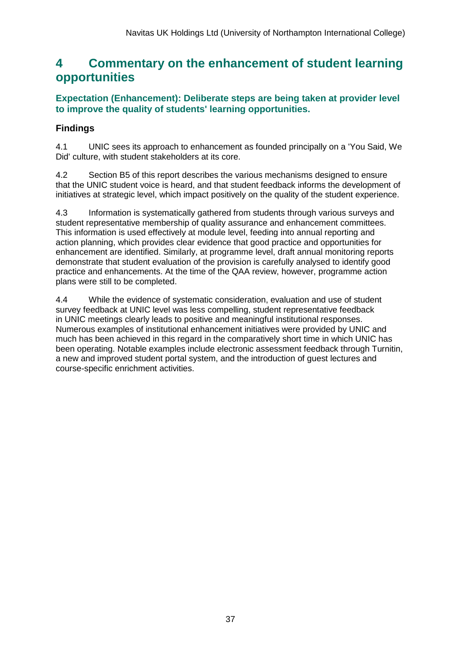## <span id="page-37-0"></span>**4 Commentary on the enhancement of student learning opportunities**

### **Expectation (Enhancement): Deliberate steps are being taken at provider level to improve the quality of students' learning opportunities.**

## **Findings**

4.1 UNIC sees its approach to enhancement as founded principally on a 'You Said, We Did' culture, with student stakeholders at its core.

4.2 Section B5 of this report describes the various mechanisms designed to ensure that the UNIC student voice is heard, and that student feedback informs the development of initiatives at strategic level, which impact positively on the quality of the student experience.

4.3 Information is systematically gathered from students through various surveys and student representative membership of quality assurance and enhancement committees. This information is used effectively at module level, feeding into annual reporting and action planning, which provides clear evidence that good practice and opportunities for enhancement are identified. Similarly, at programme level, draft annual monitoring reports demonstrate that student evaluation of the provision is carefully analysed to identify good practice and enhancements. At the time of the QAA review, however, programme action plans were still to be completed.

4.4 While the evidence of systematic consideration, evaluation and use of student survey feedback at UNIC level was less compelling, student representative feedback in UNIC meetings clearly leads to positive and meaningful institutional responses. Numerous examples of institutional enhancement initiatives were provided by UNIC and much has been achieved in this regard in the comparatively short time in which UNIC has been operating. Notable examples include electronic assessment feedback through Turnitin, a new and improved student portal system, and the introduction of guest lectures and course-specific enrichment activities.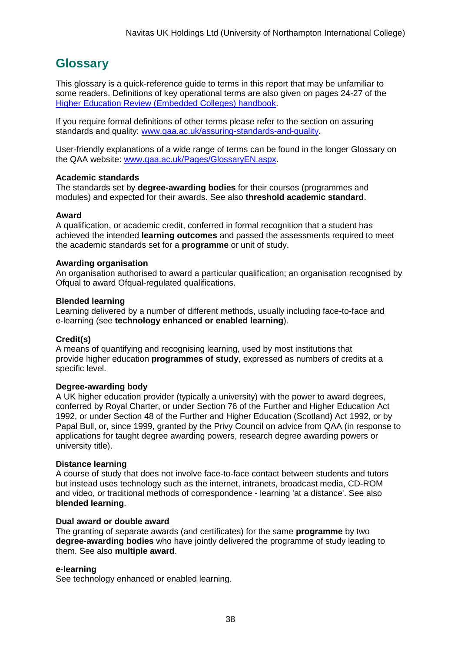## <span id="page-38-0"></span>**Glossary**

This glossary is a quick-reference guide to terms in this report that may be unfamiliar to some readers. Definitions of key operational terms are also given on pages 24-27 of the [Higher Education Review \(Embedded Colleges\) handbook.](http://www.qaa.ac.uk/publications/information-and-guidance/publication?PubID=2961)

If you require formal definitions of other terms please refer to the section on assuring standards and quality: [www.qaa.ac.uk/assuring-standards-and-quality.](www.qaa.ac.uk/assuring-standards-and-quality)

User-friendly explanations of a wide range of terms can be found in the longer Glossary on the QAA website: [www.qaa.ac.uk/Pages/GlossaryEN.aspx.](http://www.qaa.ac.uk/Pages/GlossaryEN.aspx)

#### **Academic standards**

The standards set by **degree-awarding bodies** for their courses (programmes and modules) and expected for their awards. See also **threshold academic standard**.

#### **Award**

A qualification, or academic credit, conferred in formal recognition that a student has achieved the intended **learning outcomes** and passed the assessments required to meet the academic standards set for a **programme** or unit of study.

#### **Awarding organisation**

An organisation authorised to award a particular qualification; an organisation recognised by Ofqual to award Ofqual-regulated qualifications.

#### **Blended learning**

Learning delivered by a number of different methods, usually including face-to-face and e-learning (see **technology enhanced or enabled learning**).

#### **Credit(s)**

A means of quantifying and recognising learning, used by most institutions that provide higher education **programmes of study**, expressed as numbers of credits at a specific level.

#### **Degree-awarding body**

A UK higher education provider (typically a university) with the power to award degrees, conferred by Royal Charter, or under Section 76 of the Further and Higher Education Act 1992, or under Section 48 of the Further and Higher Education (Scotland) Act 1992, or by Papal Bull, or, since 1999, granted by the Privy Council on advice from QAA (in response to applications for taught degree awarding powers, research degree awarding powers or university title).

#### **Distance learning**

A course of study that does not involve face-to-face contact between students and tutors but instead uses technology such as the internet, intranets, broadcast media, CD-ROM and video, or traditional methods of correspondence - learning 'at a distance'. See also **blended learning**.

#### **Dual award or double award**

The granting of separate awards (and certificates) for the same **programme** by two **degree-awarding bodies** who have jointly delivered the programme of study leading to them. See also **multiple award**.

#### **e-learning**

See technology enhanced or enabled learning.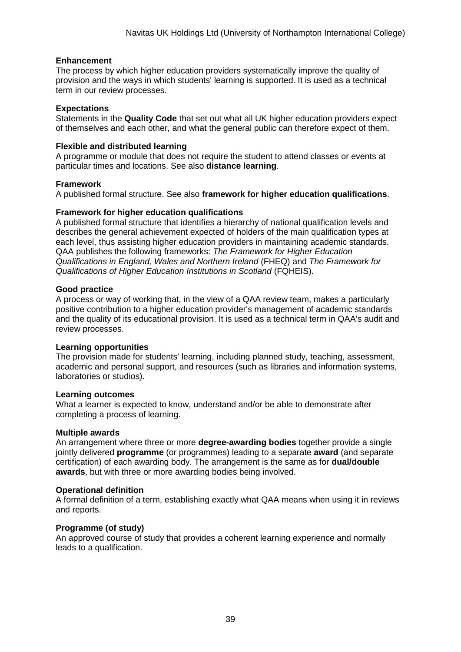#### **Enhancement**

The process by which higher education providers systematically improve the quality of provision and the ways in which students' learning is supported. It is used as a technical term in our review processes.

#### **Expectations**

Statements in the **Quality Code** that set out what all UK higher education providers expect of themselves and each other, and what the general public can therefore expect of them.

#### **Flexible and distributed learning**

A programme or module that does not require the student to attend classes or events at particular times and locations. See also **distance learning**.

#### **Framework**

A published formal structure. See also **framework for higher education qualifications**.

#### **Framework for higher education qualifications**

A published formal structure that identifies a hierarchy of national qualification levels and describes the general achievement expected of holders of the main qualification types at each level, thus assisting higher education providers in maintaining academic standards. QAA publishes the following frameworks: *The Framework for Higher Education Qualifications in England, Wales and Northern Ireland* (FHEQ) and *The Framework for Qualifications of Higher Education Institutions in Scotland* (FQHEIS).

#### **Good practice**

A process or way of working that, in the view of a QAA review team, makes a particularly positive contribution to a higher education provider's management of academic standards and the quality of its educational provision. It is used as a technical term in QAA's audit and review processes.

#### **Learning opportunities**

The provision made for students' learning, including planned study, teaching, assessment, academic and personal support, and resources (such as libraries and information systems, laboratories or studios).

#### **Learning outcomes**

What a learner is expected to know, understand and/or be able to demonstrate after completing a process of learning.

#### **Multiple awards**

An arrangement where three or more **degree-awarding bodies** together provide a single jointly delivered **programme** (or programmes) leading to a separate **award** (and separate certification) of each awarding body. The arrangement is the same as for **dual/double awards**, but with three or more awarding bodies being involved.

#### **Operational definition**

A formal definition of a term, establishing exactly what QAA means when using it in reviews and reports.

#### **Programme (of study)**

An approved course of study that provides a coherent learning experience and normally leads to a qualification.